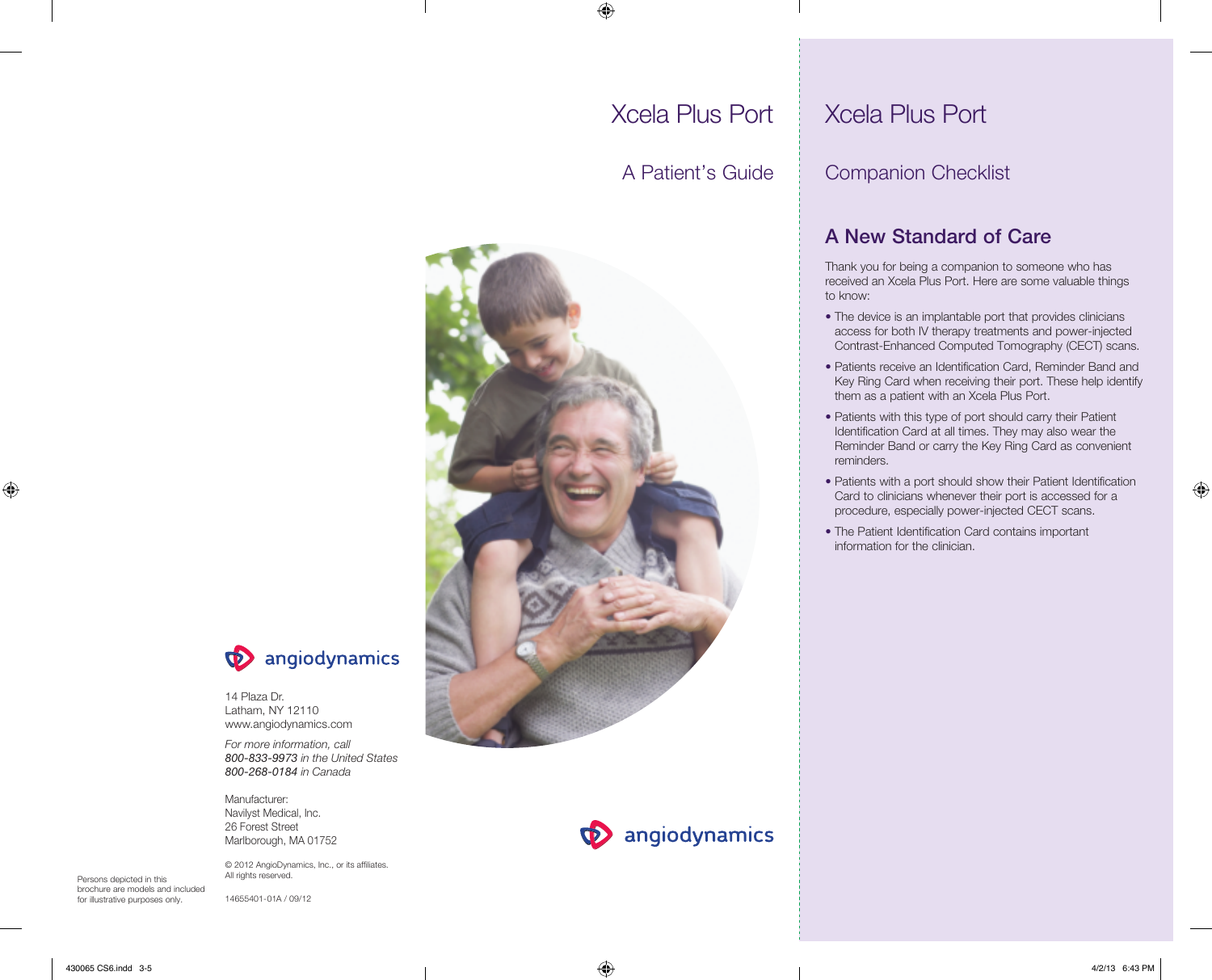## ◈

# Xcela Plus Port

 $\bigcirc$ 

A Patient's Guide





14 Plaza Dr. Latham, NY 12110 www.angiodynamics.com

*For more information, call 800-833-9973 in the United States 800-268-0184 in Canada*

Manufacturer: Navilyst Medical, Inc. 26 Forest Street Marlborough, MA 01752

© 2012 AngioDynamics, Inc., or its affiliates. All rights reserved.

Persons depicted in this brochure are models and included for illustrative purposes only.

14655401-01A / 09/12

## **D** angiodynamics

## Xcela Plus Port

## Companion Checklist

## A New Standard of Care

Thank you for being a companion to someone who has received an Xcela Plus Port. Here are some valuable things to know:

- The device is an implantable port that provides clinicians access for both IV therapy treatments and power-injected Contrast-Enhanced Computed Tomography (CECT) scans.
- Patients receive an Identification Card, Reminder Band and Key Ring Card when receiving their port. These help identify them as a patient with an Xcela Plus Port.
- Patients with this type of port should carry their Patient Identification Card at all times. They may also wear the Reminder Band or carry the Key Ring Card as convenient reminders.
- Patients with a port should show their Patient Identification Card to clinicians whenever their port is accessed for a procedure, especially power-injected CECT scans.
- The Patient Identification Card contains important information for the clinician.

430065 CS6.indd 3-5 4/2/13 6:43 PM

⊕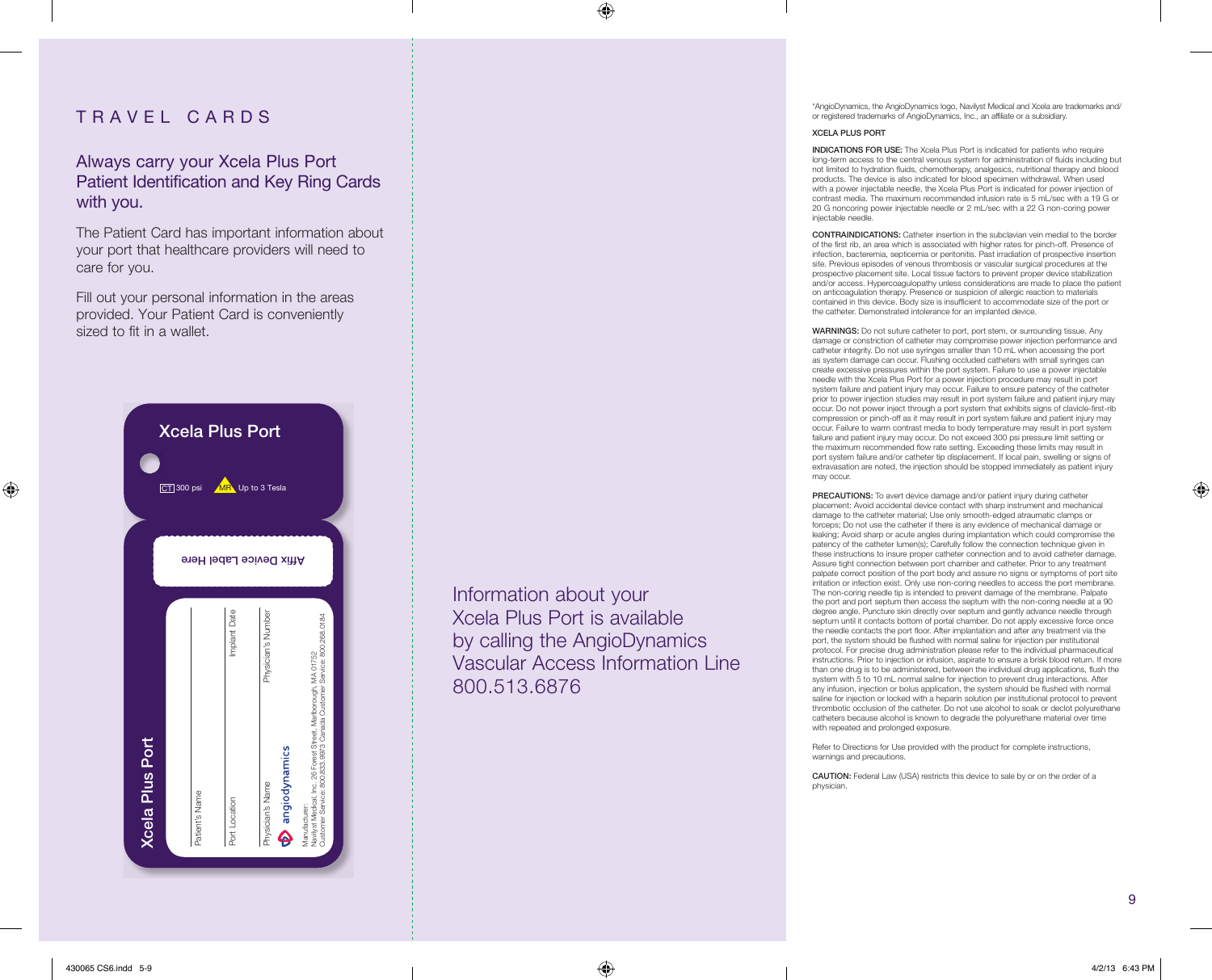### TRAVEL CARDS

Always carry your Xcela Plus Port Patient Identification and Key Ring Cards with you.

The Patient Card has important information about your port that healthcare providers will need to care for you.

Fill out your personal information in the areas provided. Your Patient Card is conveniently sized to fit in a wallet.



Information about your Xcela Plus Port is available by calling the AngioDynamics Vascular Access Information Line 800.513.6876

◈

\*AngioDynamics, the AngioDynamics logo, Navilyst Medical and Xcela are trademarks and/ or registered trademarks of AngioDynamics, Inc., an affiliate or a subsidiary.

#### XCELA PLUS PORT

INDICATIONS FOR USE: The Xcela Plus Port is indicated for patients who require long-term access to the central venous system for administration of fluids including but not limited to hydration fluids, chemotherapy, analgesics, nutritional therapy and blood products. The device is also indicated for blood specimen withdrawal. When used with a power injectable needle, the Xcela Plus Port is indicated for power injection of contrast media. The maximum recommended infusion rate is 5 mL/sec with a 19 G or 20 G noncoring power injectable needle or 2 mL/sec with a 22 G non-coring power injectable needle

CONTRAINDICATIONS: Catheter insertion in the subclavian vein medial to the border of the first rib, an area which is associated with higher rates for pinch-off. Presence of infection, bacteremia, septicemia or peritonitis. Past irradiation of prospective insertion site. Previous episodes of venous thrombosis or vascular surgical procedures at the prospective placement site. Local tissue factors to prevent proper device stabilization and/or access. Hypercoagulopathy unless considerations are made to place the patient on anticoagulation therapy. Presence or suspicion of allergic reaction to materials contained in this device. Body size is insufficient to accommodate size of the port or the catheter. Demonstrated intolerance for an implanted device.

WARNINGS: Do not suture catheter to port, port stem, or surrounding tissue. Any damage or constriction of catheter may compromise power injection performance and catheter integrity. Do not use syringes smaller than 10 mL when accessing the port as system damage can occur. Flushing occluded catheters with small syringes can create excessive pressures within the port system. Failure to use a power injectable needle with the Xcela Plus Port for a power injection procedure may result in port system failure and patient injury may occur. Failure to ensure patency of the catheter prior to power injection studies may result in port system failure and patient injury may occur. Do not power inject through a port system that exhibits signs of clavicle-first-rib compression or pinch-off as it may result in port system failure and patient injury may occur. Failure to warm contrast media to body temperature may result in port system failure and patient injury may occur. Do not exceed 300 psi pressure limit setting or the maximum recommended flow rate setting. Exceeding these limits may result in port system failure and/or catheter tip displacement. If local pain, swelling or signs of extravasation are noted, the injection should be stopped immediately as patient injury may occur.

PRECAUTIONS: To avert device damage and/or patient injury during catheter placement: Avoid accidental device contact with sharp instrument and mechanical damage to the catheter material; Use only smooth-edged atraumatic clamps or forceps; Do not use the catheter if there is any evidence of mechanical damage or leaking; Avoid sharp or acute angles during implantation which could compromise the patency of the catheter lumen(s); Carefully follow the connection technique given in these instructions to insure proper catheter connection and to avoid catheter damage. Assure tight connection between port chamber and catheter. Prior to any treatment palpate correct position of the port body and assure no signs or symptoms of port site irritation or infection exist. Only use non-coring needles to access the port membrane. The non-coring needle tip is intended to prevent damage of the membrane. Palpate the port and port septum then access the septum with the non-coring needle at a 90 degree angle. Puncture skin directly over septum and gently advance needle through septum until it contacts bottom of portal chamber. Do not apply excessive force once the needle contacts the port floor. After implantation and after any treatment via the port, the system should be flushed with normal saline for injection per institutional protocol. For precise drug administration please refer to the individual pharmaceutical instructions. Prior to injection or infusion, aspirate to ensure a brisk blood return. If more than one drug is to be administered, between the individual drug applications, flush the system with 5 to 10 mL normal saline for injection to prevent drug interactions. After any infusion, injection or bolus application, the system should be flushed with normal saline for injection or locked with a heparin solution per institutional protocol to prevent thrombotic occlusion of the catheter. Do not use alcohol to soak or declot polyurethane catheters because alcohol is known to degrade the polyurethane material over time with repeated and prolonged exposure.

Refer to Directions for Use provided with the product for complete instructions, warnings and precautions.

CAUTION: Federal Law (USA) restricts this device to sale by or on the order of a physician.

9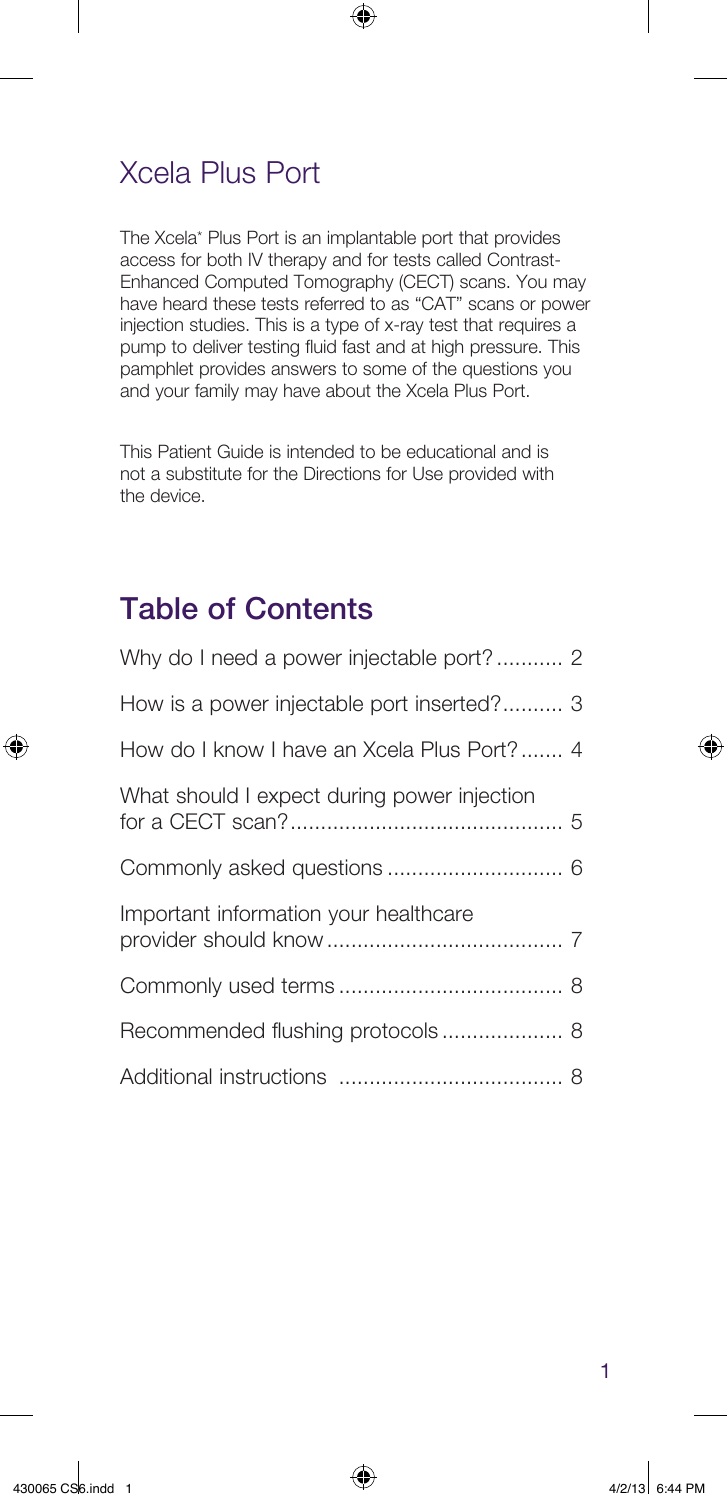## Xcela Plus Port

The Xcela\* Plus Port is an implantable port that provides access for both IV therapy and for tests called Contrast-Enhanced Computed Tomography (CECT) scans. You may have heard these tests referred to as "CAT" scans or power injection studies. This is a type of x-ray test that requires a pump to deliver testing fluid fast and at high pressure. This pamphlet provides answers to some of the questions you and your family may have about the Xcela Plus Port.

 $\bigoplus$ 

This Patient Guide is intended to be educational and is not a substitute for the Directions for Use provided with the device.

## Table of Contents

⊕

| How is a power injectable port inserted? 3  |
|---------------------------------------------|
| How do I know I have an Xcela Plus Port? 4  |
| What should I expect during power injection |
|                                             |
| Important information your healthcare       |
|                                             |
|                                             |
|                                             |

⊕

1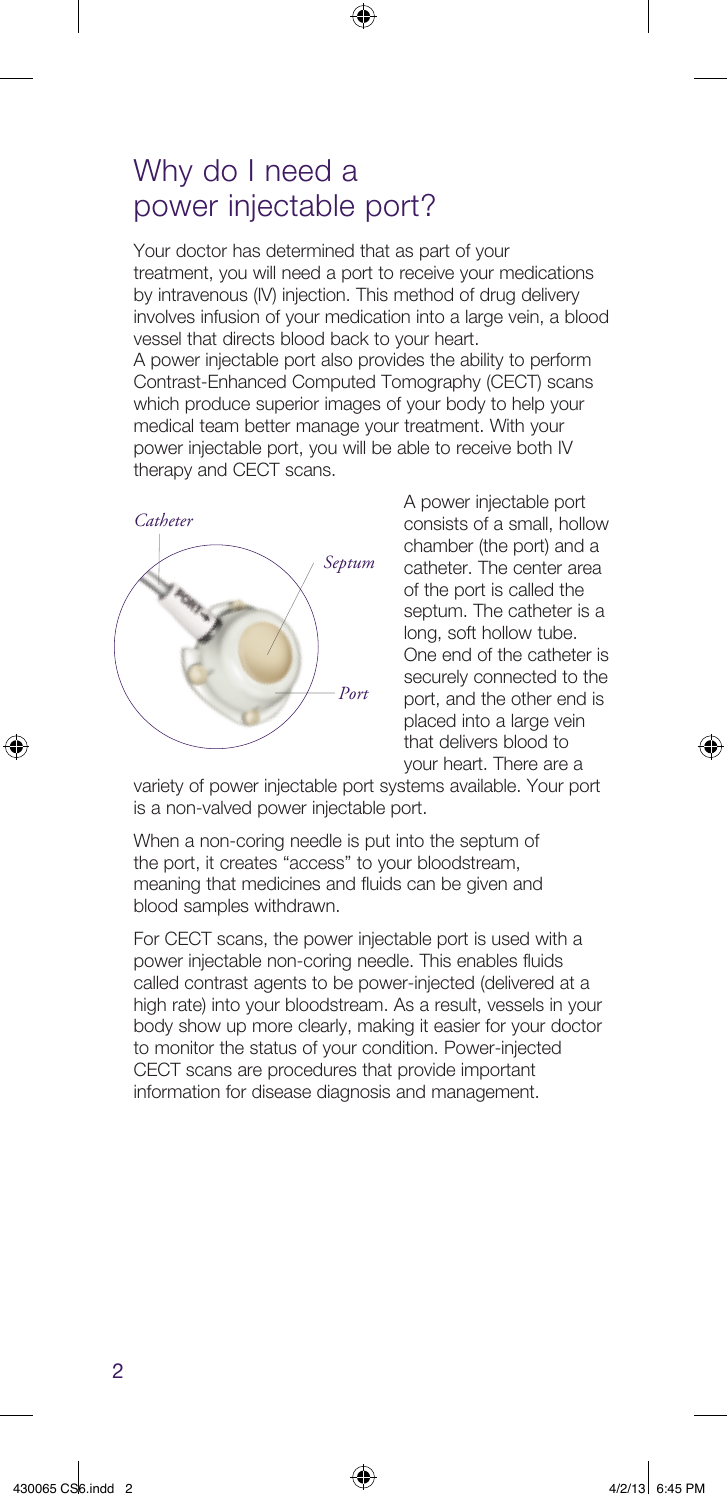### Why do I need a power injectable port?

Your doctor has determined that as part of your treatment, you will need a port to receive your medications by intravenous (IV) injection. This method of drug delivery involves infusion of your medication into a large vein, a blood vessel that directs blood back to your heart. A power injectable port also provides the ability to perform Contrast-Enhanced Computed Tomography (CECT) scans which produce superior images of your body to help your medical team better manage your treatment. With your

◈

power injectable port, you will be able to receive both IV



therapy and CECT scans.

A power injectable port consists of a small, hollow chamber (the port) and a catheter. The center area of the port is called the septum. The catheter is a long, soft hollow tube. One end of the catheter is securely connected to the port, and the other end is placed into a large vein that delivers blood to your heart. There are a

variety of power injectable port systems available. Your port is a non-valved power injectable port.

When a non-coring needle is put into the septum of the port, it creates "access" to your bloodstream, meaning that medicines and fluids can be given and blood samples withdrawn.

For CECT scans, the power injectable port is used with a power injectable non-coring needle. This enables fluids called contrast agents to be power-injected (delivered at a high rate) into your bloodstream. As a result, vessels in your body show up more clearly, making it easier for your doctor to monitor the status of your condition. Power-injected CECT scans are procedures that provide important information for disease diagnosis and management.

⊕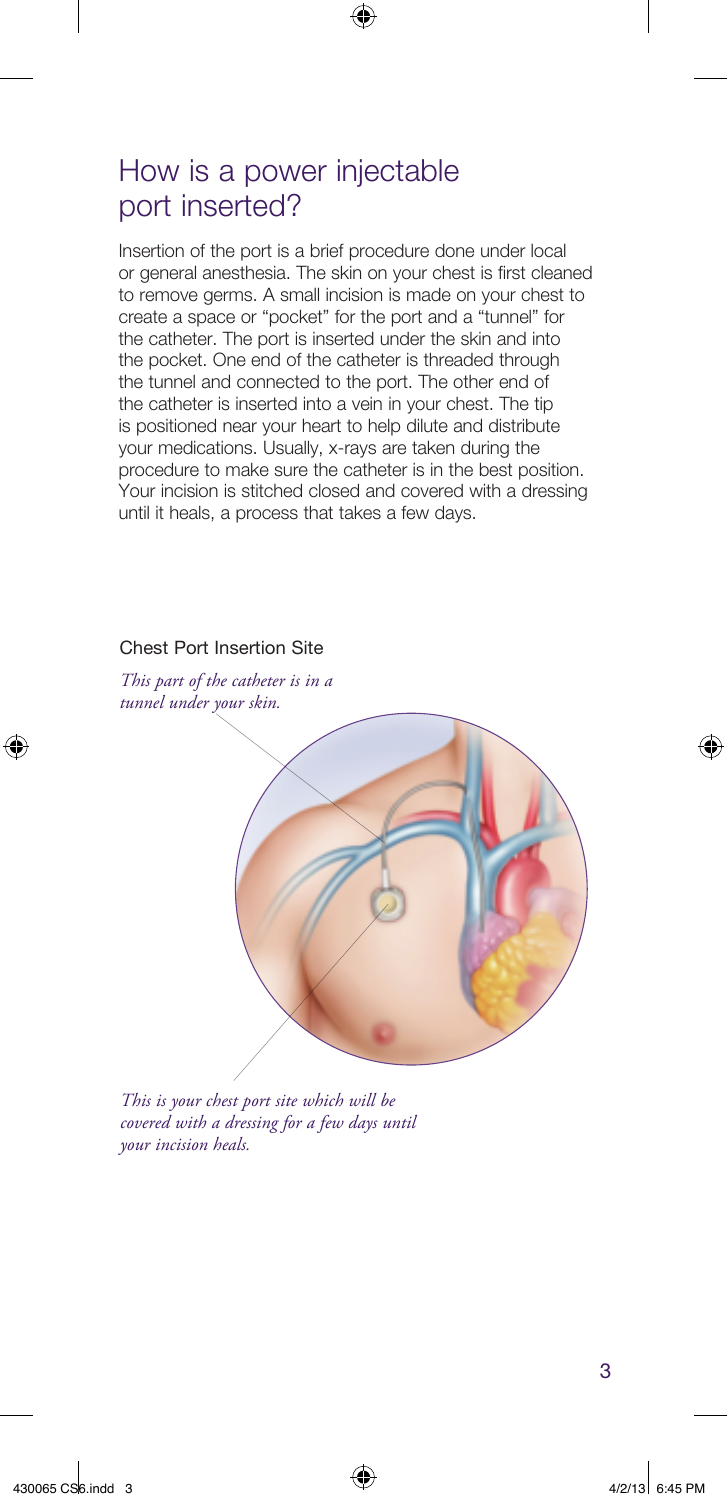## How is a power injectable port inserted?

Insertion of the port is a brief procedure done under local or general anesthesia. The skin on your chest is first cleaned to remove germs. A small incision is made on your chest to create a space or "pocket" for the port and a "tunnel" for the catheter. The port is inserted under the skin and into the pocket. One end of the catheter is threaded through the tunnel and connected to the port. The other end of the catheter is inserted into a vein in your chest. The tip is positioned near your heart to help dilute and distribute your medications. Usually, x-rays are taken during the procedure to make sure the catheter is in the best position. Your incision is stitched closed and covered with a dressing until it heals, a process that takes a few days.

 $\bigoplus$ 

#### Chest Port Insertion Site

*This part of the catheter is in a tunnel under your skin.*



*This is your chest port site which will be covered with a dressing for a few days until your incision heals.*

3

⊕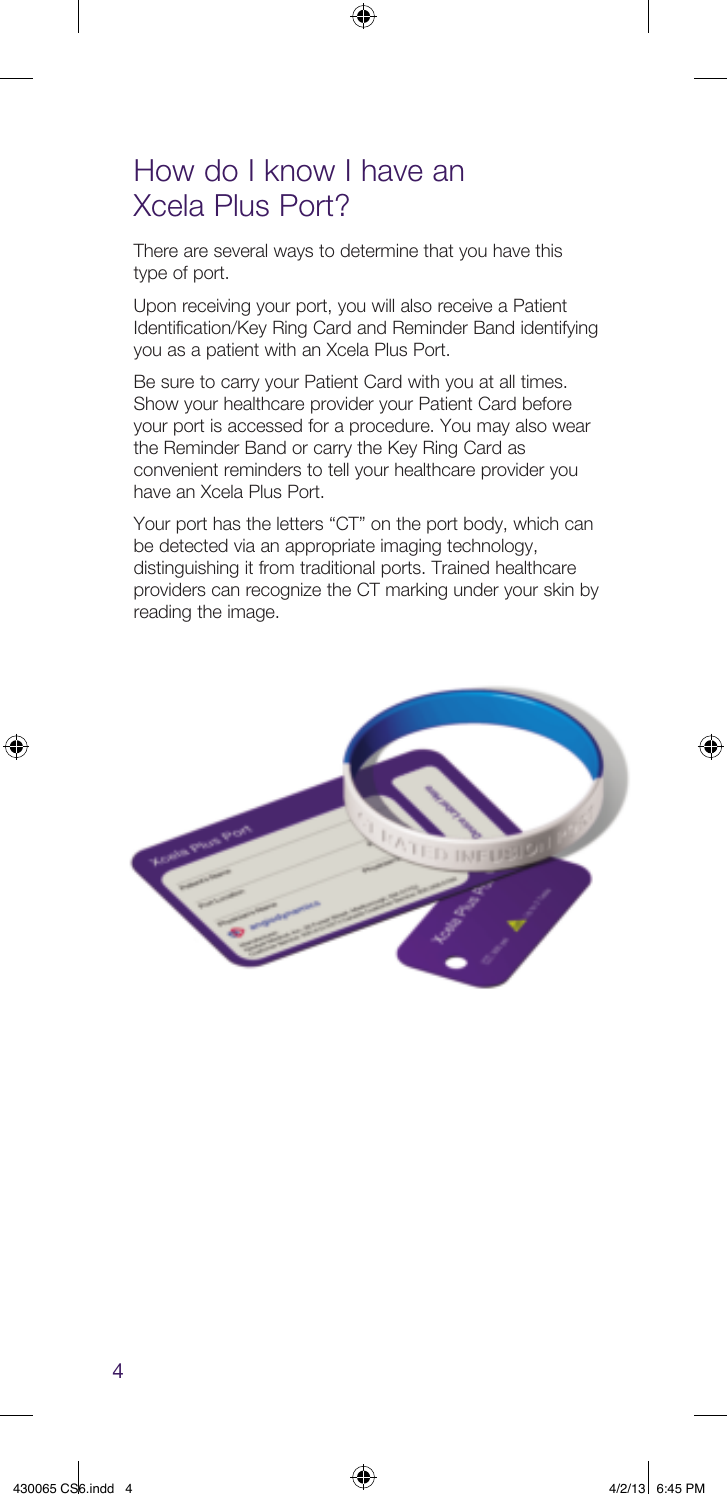## How do I know I have an Xcela Plus Port?

There are several ways to determine that you have this type of port.

Upon receiving your port, you will also receive a Patient Identification/Key Ring Card and Reminder Band identifying you as a patient with an Xcela Plus Port.

⊕

Be sure to carry your Patient Card with you at all times. Show your healthcare provider your Patient Card before your port is accessed for a procedure. You may also wear the Reminder Band or carry the Key Ring Card as convenient reminders to tell your healthcare provider you have an Xcela Plus Port.

Your port has the letters "CT" on the port body, which can be detected via an appropriate imaging technology, distinguishing it from traditional ports. Trained healthcare providers can recognize the CT marking under your skin by reading the image.



⊕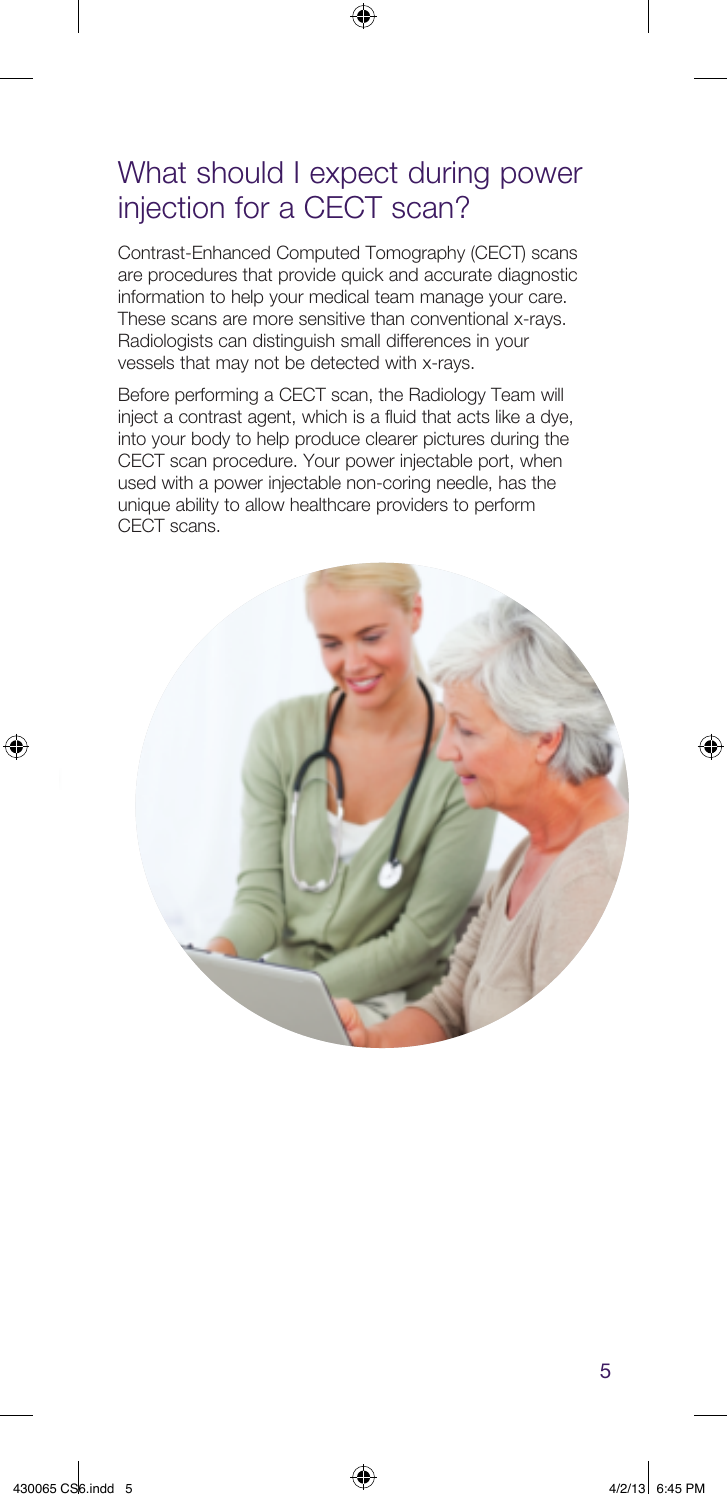## What should I expect during power injection for a CECT scan?

◈

Contrast-Enhanced Computed Tomography (CECT) scans are procedures that provide quick and accurate diagnostic information to help your medical team manage your care. These scans are more sensitive than conventional x-rays. Radiologists can distinguish small differences in your vessels that may not be detected with x-rays.

Before performing a CECT scan, the Radiology Team will inject a contrast agent, which is a fluid that acts like a dye, into your body to help produce clearer pictures during the CECT scan procedure. Your power injectable port, when used with a power injectable non-coring needle, has the unique ability to allow healthcare providers to perform CECT scans.



⊕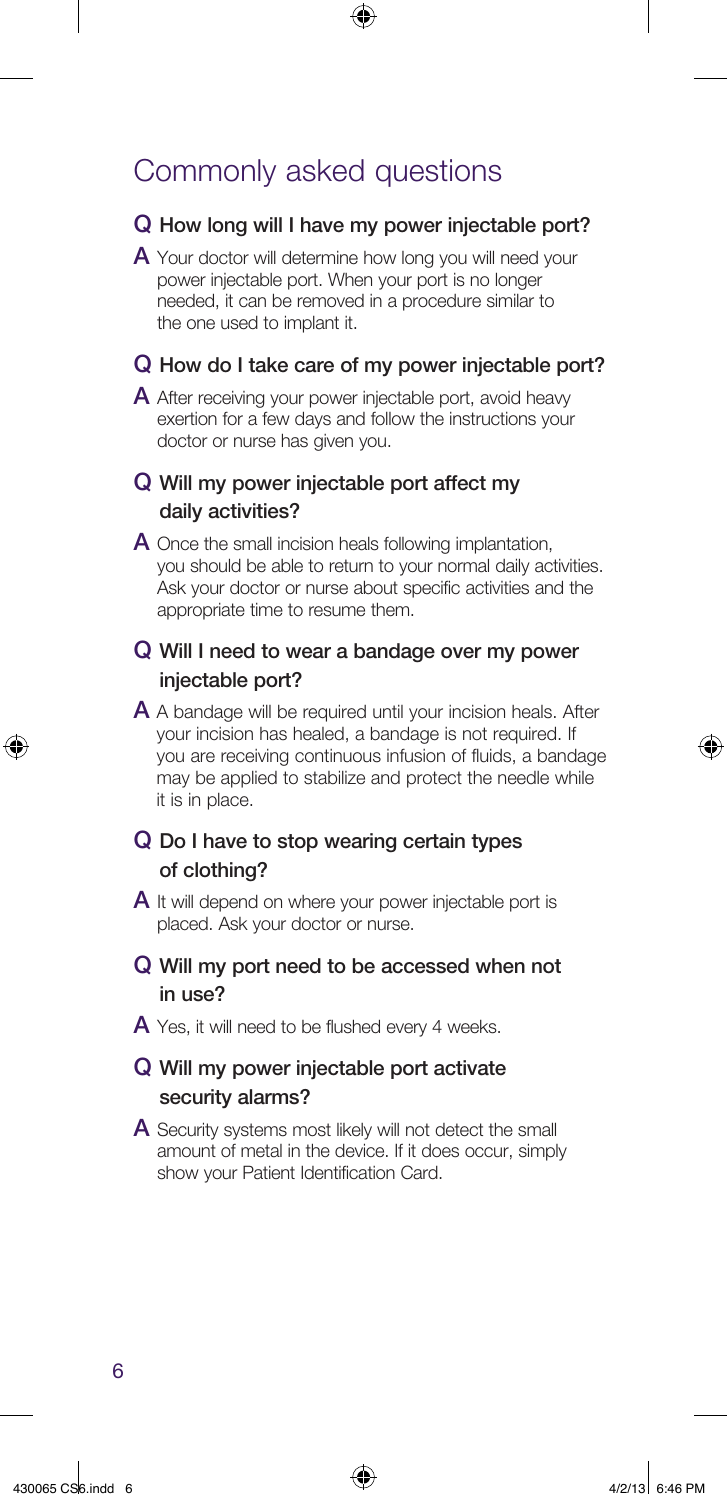## Commonly asked questions

#### Q How long will I have my power injectable port?

⊕

A Your doctor will determine how long you will need your power injectable port. When your port is no longer needed, it can be removed in a procedure similar to the one used to implant it.

#### Q How do I take care of my power injectable port?

A After receiving your power injectable port, avoid heavy exertion for a few days and follow the instructions your doctor or nurse has given you.

#### Q Will my power injectable port affect my daily activities?

A Once the small incision heals following implantation, you should be able to return to your normal daily activities. Ask your doctor or nurse about specific activities and the appropriate time to resume them.

#### Q Will I need to wear a bandage over my power injectable port?

A A bandage will be required until your incision heals. After your incision has healed, a bandage is not required. If you are receiving continuous infusion of fluids, a bandage may be applied to stabilize and protect the needle while it is in place.

#### Q Do I have to stop wearing certain types of clothing?

A It will depend on where your power injectable port is placed. Ask your doctor or nurse.

#### Q Will my port need to be accessed when not in use?

 $\overline{A}$  Yes, it will need to be flushed every 4 weeks.

#### Q Will my power injectable port activate security alarms?

A Security systems most likely will not detect the small amount of metal in the device. If it does occur, simply show your Patient Identification Card.

6

⊕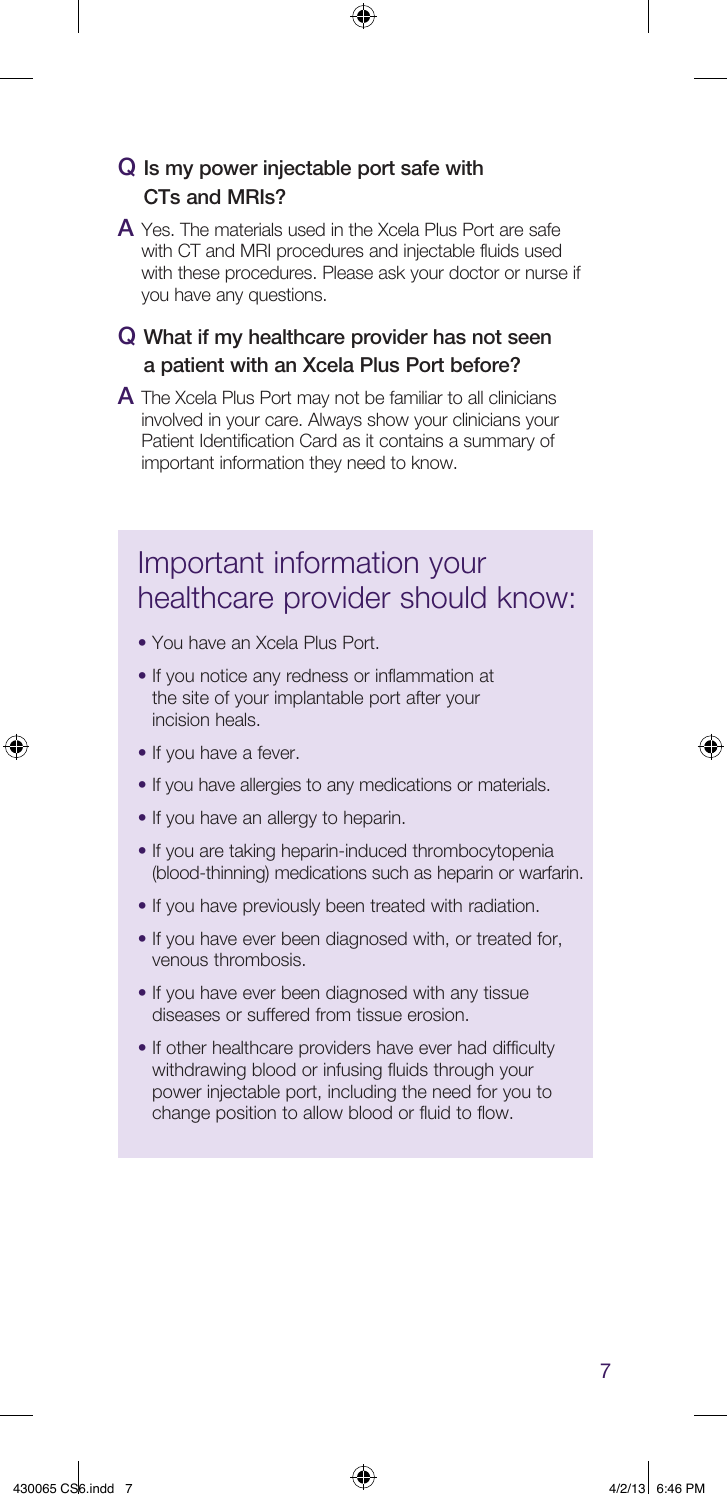#### Q Is my power injectable port safe with CTs and MRIs?

A Yes. The materials used in the Xcela Plus Port are safe with CT and MRI procedures and injectable fluids used with these procedures. Please ask your doctor or nurse if you have any questions.

⊕

#### Q What if my healthcare provider has not seen a patient with an Xcela Plus Port before?

A The Xcela Plus Port may not be familiar to all clinicians involved in your care. Always show your clinicians your Patient Identification Card as it contains a summary of important information they need to know.

## Important information your healthcare provider should know:

- You have an Xcela Plus Port.
- If you notice any redness or inflammation at the site of your implantable port after your incision heals.
- If you have a fever.

⊕

- If you have allergies to any medications or materials.
- If you have an allergy to heparin.
- If you are taking heparin-induced thrombocytopenia (blood-thinning) medications such as heparin or warfarin.
- If you have previously been treated with radiation.
- If you have ever been diagnosed with, or treated for, venous thrombosis.
- If you have ever been diagnosed with any tissue diseases or suffered from tissue erosion.
- If other healthcare providers have ever had difficulty withdrawing blood or infusing fluids through your power injectable port, including the need for you to change position to allow blood or fluid to flow.

⊕

7